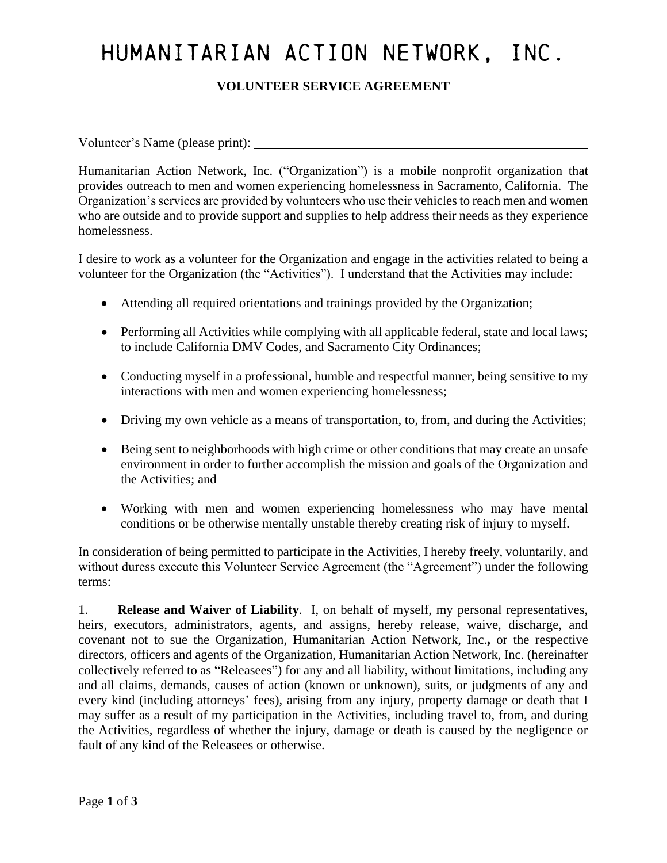# HUMANITARIAN ACTION NETWORK, INC.

## **VOLUNTEER SERVICE AGREEMENT**

Volunteer's Name (please print):

Humanitarian Action Network, Inc. ("Organization") is a mobile nonprofit organization that provides outreach to men and women experiencing homelessness in Sacramento, California. The Organization's services are provided by volunteers who use their vehiclesto reach men and women who are outside and to provide support and supplies to help address their needs as they experience homelessness.

I desire to work as a volunteer for the Organization and engage in the activities related to being a volunteer for the Organization (the "Activities"). I understand that the Activities may include:

- Attending all required orientations and trainings provided by the Organization;
- Performing all Activities while complying with all applicable federal, state and local laws; to include California DMV Codes, and Sacramento City Ordinances;
- Conducting myself in a professional, humble and respectful manner, being sensitive to my interactions with men and women experiencing homelessness;
- Driving my own vehicle as a means of transportation, to, from, and during the Activities;
- Being sent to neighborhoods with high crime or other conditions that may create an unsafe environment in order to further accomplish the mission and goals of the Organization and the Activities; and
- Working with men and women experiencing homelessness who may have mental conditions or be otherwise mentally unstable thereby creating risk of injury to myself.

In consideration of being permitted to participate in the Activities, I hereby freely, voluntarily, and without duress execute this Volunteer Service Agreement (the "Agreement") under the following terms:

1. **Release and Waiver of Liability**. I, on behalf of myself, my personal representatives, heirs, executors, administrators, agents, and assigns, hereby release, waive, discharge, and covenant not to sue the Organization, Humanitarian Action Network, Inc.**,** or the respective directors, officers and agents of the Organization, Humanitarian Action Network, Inc. (hereinafter collectively referred to as "Releasees") for any and all liability, without limitations, including any and all claims, demands, causes of action (known or unknown), suits, or judgments of any and every kind (including attorneys' fees), arising from any injury, property damage or death that I may suffer as a result of my participation in the Activities, including travel to, from, and during the Activities, regardless of whether the injury, damage or death is caused by the negligence or fault of any kind of the Releasees or otherwise.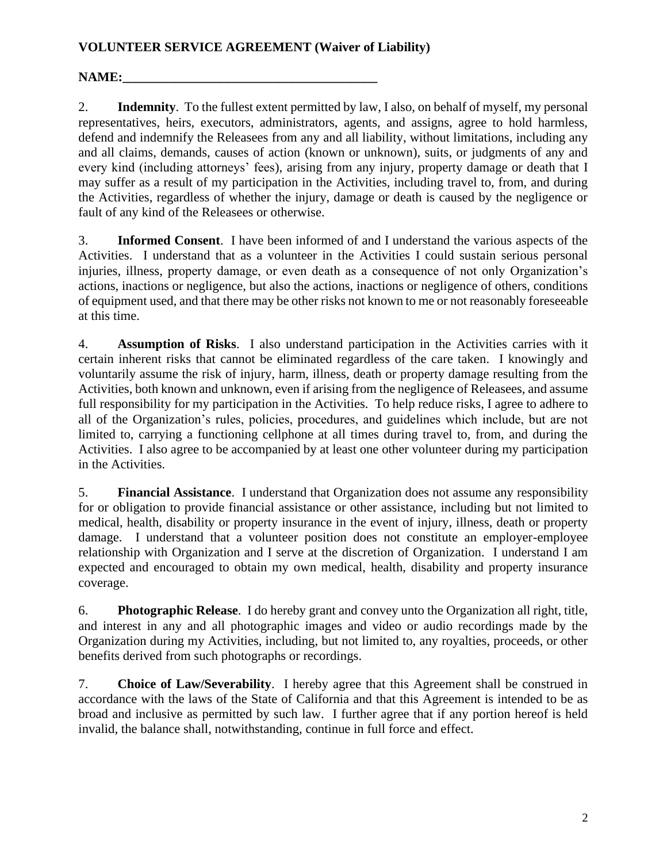#### **VOLUNTEER SERVICE AGREEMENT (Waiver of Liability)**

### **NAME:\_\_**

2. **Indemnity**. To the fullest extent permitted by law, I also, on behalf of myself, my personal representatives, heirs, executors, administrators, agents, and assigns, agree to hold harmless, defend and indemnify the Releasees from any and all liability, without limitations, including any and all claims, demands, causes of action (known or unknown), suits, or judgments of any and every kind (including attorneys' fees), arising from any injury, property damage or death that I may suffer as a result of my participation in the Activities, including travel to, from, and during the Activities, regardless of whether the injury, damage or death is caused by the negligence or fault of any kind of the Releasees or otherwise.

3. **Informed Consent**. I have been informed of and I understand the various aspects of the Activities. I understand that as a volunteer in the Activities I could sustain serious personal injuries, illness, property damage, or even death as a consequence of not only Organization's actions, inactions or negligence, but also the actions, inactions or negligence of others, conditions of equipment used, and that there may be other risks not known to me or not reasonably foreseeable at this time.

4. **Assumption of Risks**. I also understand participation in the Activities carries with it certain inherent risks that cannot be eliminated regardless of the care taken. I knowingly and voluntarily assume the risk of injury, harm, illness, death or property damage resulting from the Activities, both known and unknown, even if arising from the negligence of Releasees, and assume full responsibility for my participation in the Activities. To help reduce risks, I agree to adhere to all of the Organization's rules, policies, procedures, and guidelines which include, but are not limited to, carrying a functioning cellphone at all times during travel to, from, and during the Activities. I also agree to be accompanied by at least one other volunteer during my participation in the Activities.

5. **Financial Assistance**. I understand that Organization does not assume any responsibility for or obligation to provide financial assistance or other assistance, including but not limited to medical, health, disability or property insurance in the event of injury, illness, death or property damage. I understand that a volunteer position does not constitute an employer-employee relationship with Organization and I serve at the discretion of Organization. I understand I am expected and encouraged to obtain my own medical, health, disability and property insurance coverage.

6. **Photographic Release**. I do hereby grant and convey unto the Organization all right, title, and interest in any and all photographic images and video or audio recordings made by the Organization during my Activities, including, but not limited to, any royalties, proceeds, or other benefits derived from such photographs or recordings.

7. **Choice of Law/Severability**. I hereby agree that this Agreement shall be construed in accordance with the laws of the State of California and that this Agreement is intended to be as broad and inclusive as permitted by such law. I further agree that if any portion hereof is held invalid, the balance shall, notwithstanding, continue in full force and effect.